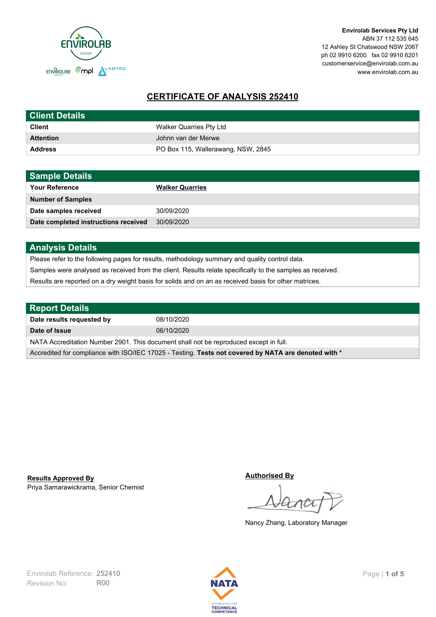

**Envirolab Services Pty Ltd** ABN 37 112 535 645 12 Ashley St Chatswood NSW 2067 ph 02 9910 6200 fax 02 9910 6201 customerservice@envirolab.com.au www.envirolab.com.au

# **CERTIFICATE OF ANALYSIS 252410**

| <b>Client Details</b> |                                    |
|-----------------------|------------------------------------|
| <b>Client</b>         | Walker Quarries Pty Ltd            |
| <b>Attention</b>      | Johnn van der Merwe                |
| <b>Address</b>        | PO Box 115, Wallerawang, NSW, 2845 |

| <b>Sample Details</b>                |                        |
|--------------------------------------|------------------------|
| <b>Your Reference</b>                | <b>Walker Quarries</b> |
| <b>Number of Samples</b>             |                        |
| Date samples received                | 30/09/2020             |
| Date completed instructions received | 30/09/2020             |

### **Analysis Details**

Please refer to the following pages for results, methodology summary and quality control data.

Samples were analysed as received from the client. Results relate specifically to the samples as received.

Results are reported on a dry weight basis for solids and on an as received basis for other matrices.

| <b>Report Details</b>                                                                                |            |  |
|------------------------------------------------------------------------------------------------------|------------|--|
| Date results requested by                                                                            | 08/10/2020 |  |
| Date of Issue                                                                                        | 06/10/2020 |  |
| NATA Accreditation Number 2901. This document shall not be reproduced except in full.                |            |  |
| Accredited for compliance with ISO/IEC 17025 - Testing. Tests not covered by NATA are denoted with * |            |  |

Priya Samarawickrama, Senior Chemist **Results Approved By**

**Authorised By**

Nancy Zhang, Laboratory Manager

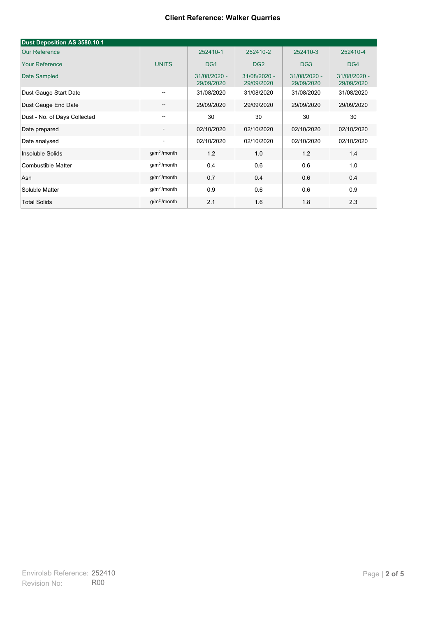| Dust Deposition AS 3580.10.1 |                          |                            |                            |                            |                            |
|------------------------------|--------------------------|----------------------------|----------------------------|----------------------------|----------------------------|
| <b>Our Reference</b>         |                          | 252410-1                   | 252410-2                   | 252410-3                   | 252410-4                   |
| <b>Your Reference</b>        | <b>UNITS</b>             | DG <sub>1</sub>            | DG <sub>2</sub>            | DG <sub>3</sub>            | DG4                        |
| Date Sampled                 |                          | 31/08/2020 -<br>29/09/2020 | 31/08/2020 -<br>29/09/2020 | 31/08/2020 -<br>29/09/2020 | 31/08/2020 -<br>29/09/2020 |
| Dust Gauge Start Date        | $\overline{\phantom{a}}$ | 31/08/2020                 | 31/08/2020                 | 31/08/2020                 | 31/08/2020                 |
| Dust Gauge End Date          | $\overline{\phantom{a}}$ | 29/09/2020                 | 29/09/2020                 | 29/09/2020                 | 29/09/2020                 |
| Dust - No. of Days Collected | --                       | 30                         | 30                         | 30                         | 30                         |
| Date prepared                | $\overline{\phantom{a}}$ | 02/10/2020                 | 02/10/2020                 | 02/10/2020                 | 02/10/2020                 |
| Date analysed                | $\overline{\phantom{a}}$ | 02/10/2020                 | 02/10/2020                 | 02/10/2020                 | 02/10/2020                 |
| Insoluble Solids             | g/m <sup>2</sup> /month  | 1.2                        | 1.0                        | 1.2                        | 1.4                        |
| Combustible Matter           | g/m <sup>2</sup> /month  | 0.4                        | 0.6                        | 0.6                        | 1.0                        |
| Ash                          | g/m <sup>2</sup> /month  | 0.7                        | 0.4                        | 0.6                        | 0.4                        |
| Soluble Matter               | $g/m2$ /month            | 0.9                        | 0.6                        | 0.6                        | 0.9                        |
| <b>Total Solids</b>          | $q/m^2$ /month           | 2.1                        | 1.6                        | 1.8                        | 2.3                        |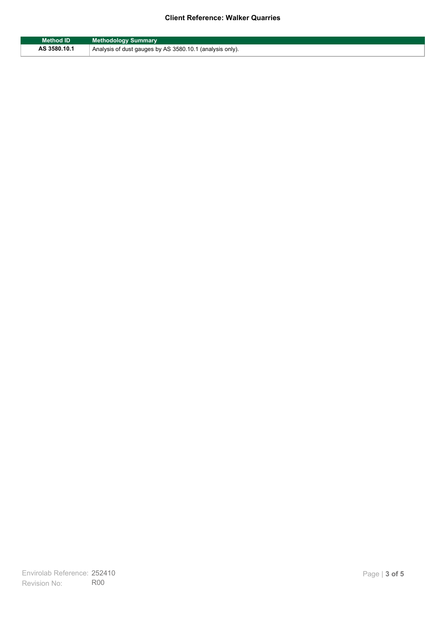| <b>Method ID</b> | <b>Methodology Summary</b>                               |
|------------------|----------------------------------------------------------|
| AS 3580.10.1     | Analysis of dust gauges by AS 3580.10.1 (analysis only). |

F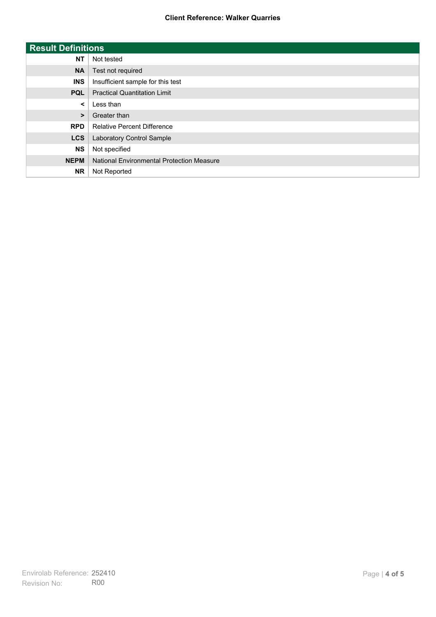| <b>Result Definitions</b> |                                           |
|---------------------------|-------------------------------------------|
| <b>NT</b>                 | Not tested                                |
| <b>NA</b>                 | Test not required                         |
| <b>INS</b>                | Insufficient sample for this test         |
| <b>PQL</b>                | <b>Practical Quantitation Limit</b>       |
| $\prec$                   | Less than                                 |
| $\geq$                    | Greater than                              |
| <b>RPD</b>                | <b>Relative Percent Difference</b>        |
| <b>LCS</b>                | Laboratory Control Sample                 |
| <b>NS</b>                 | Not specified                             |
| <b>NEPM</b>               | National Environmental Protection Measure |
| <b>NR</b>                 | Not Reported                              |